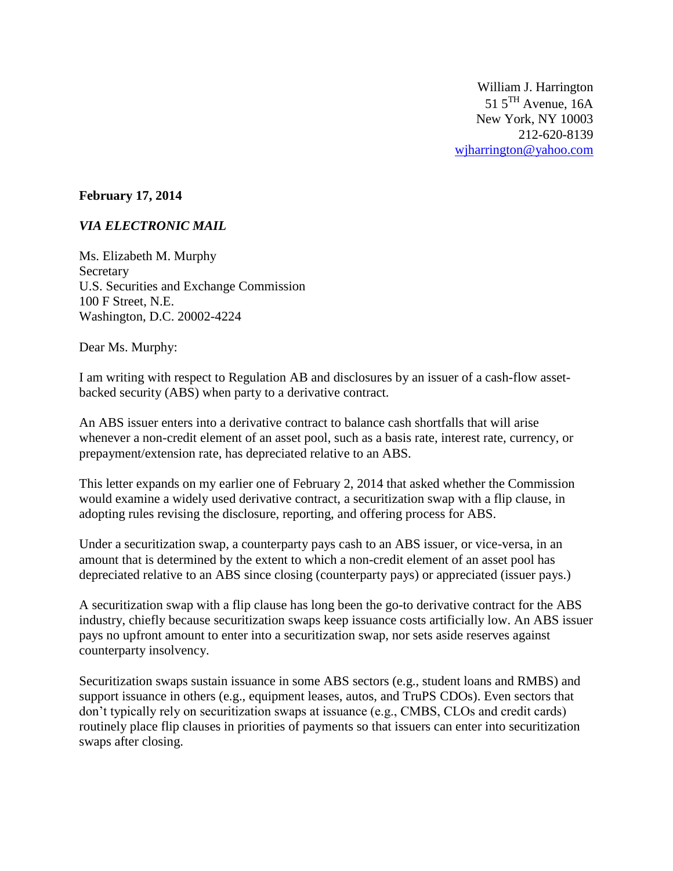William J. Harrington  $51.5^{\text{TH}}$  Avenue, 16A New York, NY 10003 212-620-8139 [wjharrington@yahoo.com](mailto:wjharrington@yahoo.com)

#### **February 17, 2014**

### *VIA ELECTRONIC MAIL*

Ms. Elizabeth M. Murphy Secretary U.S. Securities and Exchange Commission 100 F Street, N.E. Washington, D.C. 20002-4224

Dear Ms. Murphy:

I am writing with respect to Regulation AB and disclosures by an issuer of a cash-flow assetbacked security (ABS) when party to a derivative contract.

An ABS issuer enters into a derivative contract to balance cash shortfalls that will arise whenever a non-credit element of an asset pool, such as a basis rate, interest rate, currency, or prepayment/extension rate, has depreciated relative to an ABS.

This letter expands on my earlier one of February 2, 2014 that asked whether the Commission would examine a widely used derivative contract, a securitization swap with a flip clause, in adopting rules revising the disclosure, reporting, and offering process for ABS.

Under a securitization swap, a counterparty pays cash to an ABS issuer, or vice-versa, in an amount that is determined by the extent to which a non-credit element of an asset pool has depreciated relative to an ABS since closing (counterparty pays) or appreciated (issuer pays.)

A securitization swap with a flip clause has long been the go-to derivative contract for the ABS industry, chiefly because securitization swaps keep issuance costs artificially low. An ABS issuer pays no upfront amount to enter into a securitization swap, nor sets aside reserves against counterparty insolvency.

Securitization swaps sustain issuance in some ABS sectors (e.g., student loans and RMBS) and support issuance in others (e.g., equipment leases, autos, and TruPS CDOs). Even sectors that don't typically rely on securitization swaps at issuance (e.g., CMBS, CLOs and credit cards) routinely place flip clauses in priorities of payments so that issuers can enter into securitization swaps after closing.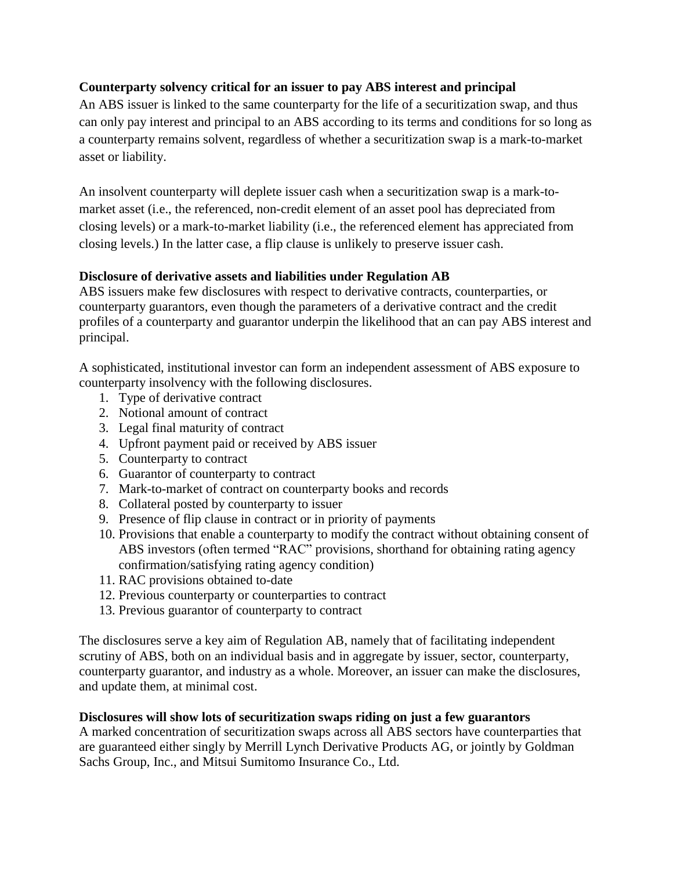# **Counterparty solvency critical for an issuer to pay ABS interest and principal**

An ABS issuer is linked to the same counterparty for the life of a securitization swap, and thus can only pay interest and principal to an ABS according to its terms and conditions for so long as a counterparty remains solvent, regardless of whether a securitization swap is a mark-to-market asset or liability.

An insolvent counterparty will deplete issuer cash when a securitization swap is a mark-tomarket asset (i.e., the referenced, non-credit element of an asset pool has depreciated from closing levels) or a mark-to-market liability (i.e., the referenced element has appreciated from closing levels.) In the latter case, a flip clause is unlikely to preserve issuer cash.

## **Disclosure of derivative assets and liabilities under Regulation AB**

ABS issuers make few disclosures with respect to derivative contracts, counterparties, or counterparty guarantors, even though the parameters of a derivative contract and the credit profiles of a counterparty and guarantor underpin the likelihood that an can pay ABS interest and principal.

A sophisticated, institutional investor can form an independent assessment of ABS exposure to counterparty insolvency with the following disclosures.

- 1. Type of derivative contract
- 2. Notional amount of contract
- 3. Legal final maturity of contract
- 4. Upfront payment paid or received by ABS issuer
- 5. Counterparty to contract
- 6. Guarantor of counterparty to contract
- 7. Mark-to-market of contract on counterparty books and records
- 8. Collateral posted by counterparty to issuer
- 9. Presence of flip clause in contract or in priority of payments
- 10. Provisions that enable a counterparty to modify the contract without obtaining consent of ABS investors (often termed "RAC" provisions, shorthand for obtaining rating agency confirmation/satisfying rating agency condition)
- 11. RAC provisions obtained to-date
- 12. Previous counterparty or counterparties to contract
- 13. Previous guarantor of counterparty to contract

The disclosures serve a key aim of Regulation AB, namely that of facilitating independent scrutiny of ABS, both on an individual basis and in aggregate by issuer, sector, counterparty, counterparty guarantor, and industry as a whole. Moreover, an issuer can make the disclosures, and update them, at minimal cost.

### **Disclosures will show lots of securitization swaps riding on just a few guarantors**

A marked concentration of securitization swaps across all ABS sectors have counterparties that are guaranteed either singly by Merrill Lynch Derivative Products AG, or jointly by Goldman Sachs Group, Inc., and Mitsui Sumitomo Insurance Co., Ltd.